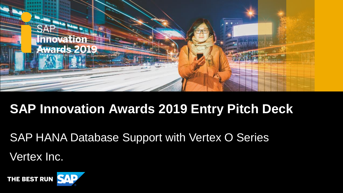

# **SAP Innovation Awards 2019 Entry Pitch Deck**

Vertex Inc. SAP HANA Database Support with Vertex O Series

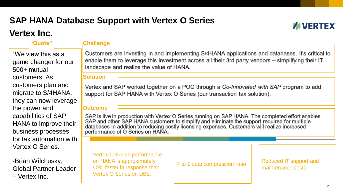## **SAP HANA Database Support with Vertex O Series**

### **Vertex Inc.**

## **MUERTEX®**

"We view this as a game changer for our 500+ mutual customers. As customers plan and migrate to S/4HANA, they can now leverage the power and capabilities of SAP HANA to improve their business processes for tax automation with Vertex O Series."

-Brian Wilchusky, Global Partner Leader – Vertex Inc.

### **"Quote" Challenge**

Customers are investing in and implementing S/4HANA applications and databases. It's critical to enable them to leverage this investment across all their 3rd party vendors – simplifying their IT landscape and realize the value of HANA.

### **Solution**

Vertex and SAP worked together on a POC through a Co-Innovated with SAP program to add support for SAP HANA with Vertex O Series (our transaction tax solution).

### **Outcome**

SAP is live in production with Vertex O Series running on SAP HANA. The completed effort enables SAP and other SAP HANA customers to simplify and eliminate the support required for multiple<br>databases in addition to reducing costly licensing expenses. Customers will realize increased performance of O Series on HANA.

Vertex O Series performance on HANA is approximately 40% faster in response than Vertex O Series on DB2.

4 to 1 data compression ratio Reduced IT support and maintenance costs.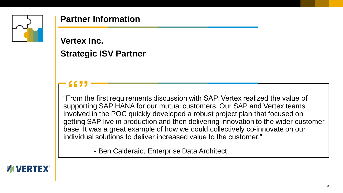

### **Partner Information**

**Vertex Inc. Strategic ISV Partner**

**EXECU FIRE 2018**<br> **Example 19 The first requirements discussion with SAP, Vertex realized the value of "From the first requirements discussion with SAP, Vertex realized the value of** supporting SAP HANA for our mutual customers. Our SAP and Vertex teams involved in the POC quickly developed a robust project plan that focused on getting SAP live in production and then delivering innovation to the wider customer base. It was a great example of how we could collectively co-innovate on our individual solutions to deliver increased value to the customer."

- Ben Calderaio, Enterprise Data Architect

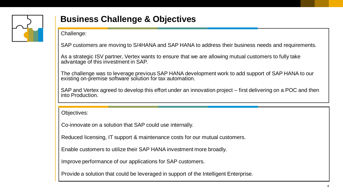

## **Business Challenge & Objectives**

Challenge:

SAP customers are moving to S/4HANA and SAP HANA to address their business needs and requirements.

As a strategic ISV partner, Vertex wants to ensure that we are allowing mutual customers to fully take advantage of this investment in SAP.

The challenge was to leverage previous SAP HANA development work to add support of SAP HANA to our existing on-premise software solution for tax automation.

SAP and Vertex agreed to develop this effort under an innovation project – first delivering on a POC and then into Production.

Objectives:

Co-innovate on a solution that SAP could use internally.

Reduced licensing, IT support & maintenance costs for our mutual customers.

Enable customers to utilize their SAP HANA investment more broadly.

Improve performance of our applications for SAP customers.

Provide a solution that could be leveraged in support of the Intelligent Enterprise.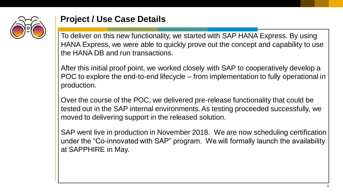

### **Project / Use Case Details**

To deliver on this new functionality, we started with SAP HANA Express. By using HANA Express, we were able to quickly prove out the concept and capability to use the HANA DB and run transactions.

After this initial proof point, we worked closely with SAP to cooperatively develop a POC to explore the end-to-end lifecycle – from implementation to fully operational in production.

Over the course of the POC, we delivered pre-release functionality that could be tested out in the SAP internal environments. As testing proceeded successfully, we moved to delivering support in the released solution.

SAP went live in production in November 2018. We are now scheduling certification under the "Co-innovated with SAP" program. We will formally launch the availability at SAPPHIRE in May.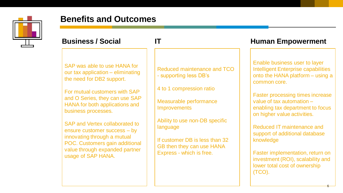

### **Benefits and Outcomes**

SAP was able to use HANA for our tax application – eliminating the need for DB2 support.

For mutual customers with SAP and O Series, they can use SAP HANA for both applications and business processes.

SAP and Vertex collaborated to ensure customer success – by innovating through a mutual POC. Customers gain additional value through expanded partner usage of SAP HANA.

Reduced maintenance and TCO - supporting less DB's

4 to 1 compression ratio

Measurable performance **Improvements** 

Ability to use non-DB specific language

If customer DB is less than 32 GB then they can use HANA Express - which is free.

### **Business / Social 17 IT Human Empowerment**

Enable business user to layer Intelligent Enterprise capabilities onto the HANA platform – using a common core.

Faster processing times increase value of tax automation – enabling tax department to focus on higher value activities.

Reduced IT maintenance and support of additional database knowledge

Faster implementation, return on investment (ROI), scalability and lower total cost of ownership (TCO).

6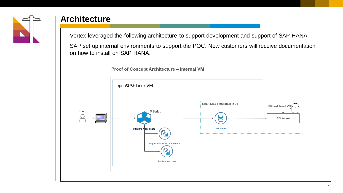

### **Architecture**

Vertex leveraged the following architecture to support development and support of SAP HANA.

SAP set up internal environments to support the POC. New customers will receive documentation on how to install on SAP HANA.



Proof of Concept Architecture - Internal VM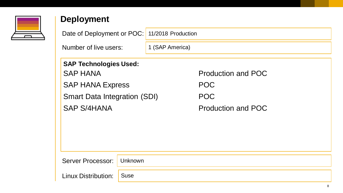

## **Deployment**

| Date of Deployment or POC:          | 11/2018 Production |                           |
|-------------------------------------|--------------------|---------------------------|
| Number of live users:               | 1 (SAP America)    |                           |
| <b>SAP Technologies Used:</b>       |                    |                           |
| <b>SAP HANA</b>                     |                    | <b>Production and POC</b> |
| <b>SAP HANA Express</b>             |                    | <b>POC</b>                |
| <b>Smart Data Integration (SDI)</b> |                    | <b>POC</b>                |
| <b>SAP S/4HANA</b>                  |                    | <b>Production and POC</b> |
|                                     |                    |                           |
|                                     |                    |                           |
|                                     |                    |                           |

Server Processor: Unknown

Linux Distribution: Suse